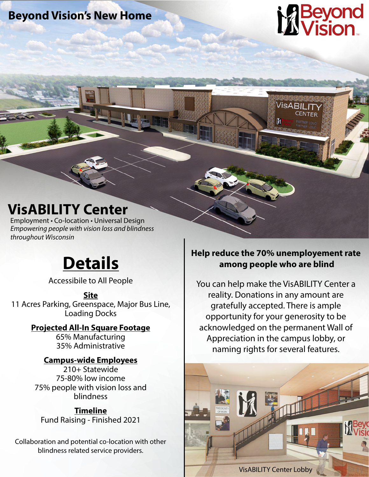**Beyond Vision's New Home**

# **Beyc<br>Visio**

### **VisABILITY Center**

Employment • Co-location • Universal Design *Empowering people with vision loss and blindness throughout Wisconsin*

## **Details**

Accessibile to All People

#### **Site**

11 Acres Parking, Greenspace, Major Bus Line, Loading Docks

**Projected All-In Square Footage**

65% Manufacturing 35% Administrative

#### **Campus-wide Employees**

210+ Statewide 75-80% low income 75% people with vision loss and blindness

**Timeline** Fund Raising - Finished 2021

Collaboration and potential co-location with other blindness related service providers.

#### **Help reduce the 70% unemployement rate among people who are blind**

**VisABIL** 

M

CENTER

You can help make the VisABILITY Center a reality. Donations in any amount are gratefully accepted. There is ample opportunity for your generosity to be acknowledged on the permanent Wall of Appreciation in the campus lobby, or naming rights for several features.